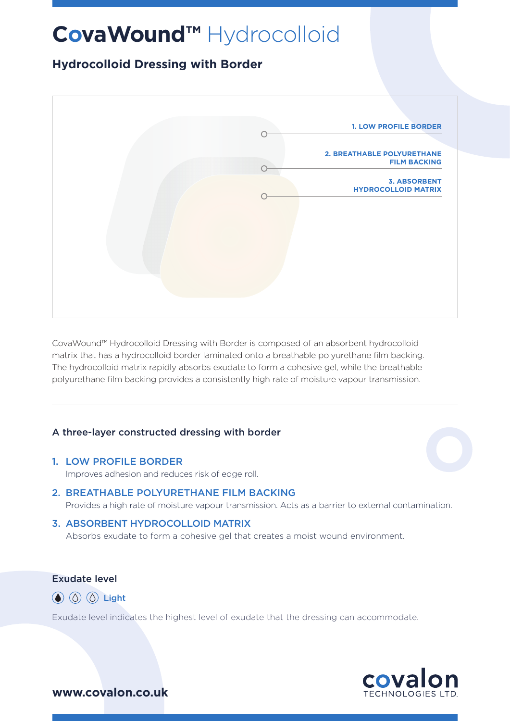# **CovaWound™** Hydrocolloid

## **Hydrocolloid Dressing with Border**



CovaWound™ Hydrocolloid Dressing with Border is composed of an absorbent hydrocolloid matrix that has a hydrocolloid border laminated onto a breathable polyurethane film backing. The hydrocolloid matrix rapidly absorbs exudate to form a cohesive gel, while the breathable polyurethane film backing provides a consistently high rate of moisture vapour transmission.

#### A three-layer constructed dressing with border

#### 1. LOW PROFILE BORDER

Improves adhesion and reduces risk of edge roll.

## 2. BREATHABLE POLYURETHANE FILM BACKING

Provides a high rate of moisture vapour transmission. Acts as a barrier to external contamination.

#### 3. ABSORBENT HYDROCOLLOID MATRIX

Absorbs exudate to form a cohesive gel that creates a moist wound environment.

#### Exudate level

 $\circled{a}$   $\circled{b}$   $\circled{b}$  Light

Exudate level indicates the highest level of exudate that the dressing can accommodate.



**www.covalon.co.uk**